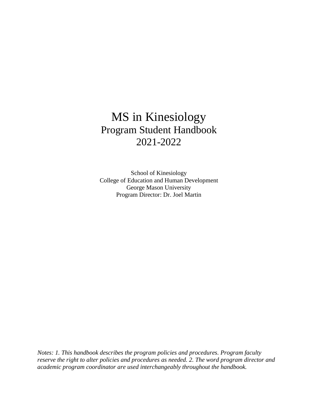# MS in Kinesiology Program Student Handbook 2021-2022

School of Kinesiology College of Education and Human Development George Mason University Program Director: Dr. Joel Martin

*Notes: 1. This handbook describes the program policies and procedures. Program faculty reserve the right to alter policies and procedures as needed. 2. The word program director and academic program coordinator are used interchangeably throughout the handbook.*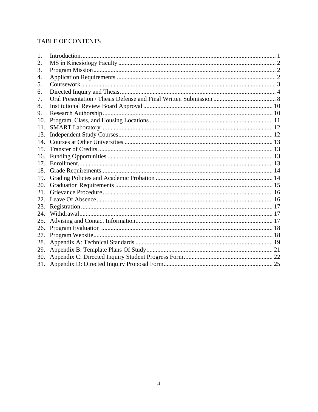# TABLE OF CONTENTS

| 1.  |  |
|-----|--|
| 2.  |  |
| 3.  |  |
| 4.  |  |
| 5.  |  |
| 6.  |  |
| 7.  |  |
| 8.  |  |
| 9.  |  |
| 10. |  |
| 11. |  |
| 13. |  |
| 14. |  |
| 15. |  |
| 16. |  |
| 17. |  |
| 18. |  |
| 19. |  |
| 20. |  |
| 21. |  |
| 22. |  |
| 23. |  |
| 24  |  |
| 25. |  |
| 26. |  |
| 27. |  |
| 28. |  |
| 29. |  |
| 30. |  |
| 31. |  |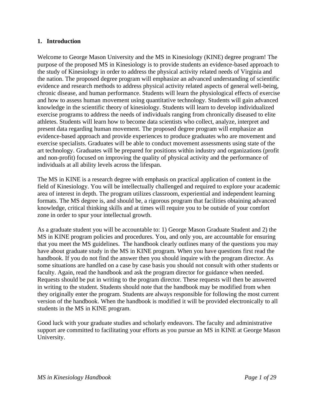#### <span id="page-2-0"></span>**1. Introduction**

Welcome to George Mason University and the MS in Kinesiology (KINE) degree program! The purpose of the proposed MS in Kinesiology is to provide students an evidence-based approach to the study of Kinesiology in order to address the physical activity related needs of Virginia and the nation. The proposed degree program will emphasize an advanced understanding of scientific evidence and research methods to address physical activity related aspects of general well-being, chronic disease, and human performance. Students will learn the physiological effects of exercise and how to assess human movement using quantitative technology. Students will gain advanced knowledge in the scientific theory of kinesiology. Students will learn to develop individualized exercise programs to address the needs of individuals ranging from chronically diseased to elite athletes. Students will learn how to become data scientists who collect, analyze, interpret and present data regarding human movement. The proposed degree program will emphasize an evidence-based approach and provide experiences to produce graduates who are movement and exercise specialists. Graduates will be able to conduct movement assessments using state of the art technology. Graduates will be prepared for positions within industry and organizations (profit and non-profit) focused on improving the quality of physical activity and the performance of individuals at all ability levels across the lifespan.

The MS in KINE is a research degree with emphasis on practical application of content in the field of Kinesiology. You will be intellectually challenged and required to explore your academic area of interest in depth. The program utilizes classroom, experiential and independent learning formats. The MS degree is, and should be, a rigorous program that facilities obtaining advanced knowledge, critical thinking skills and at times will require you to be outside of your comfort zone in order to spur your intellectual growth.

As a graduate student you will be accountable to: 1) George Mason Graduate Student and 2) the MS in KINE program policies and procedures. You, and only you, are accountable for ensuring that you meet the MS guidelines. The handbook clearly outlines many of the questions you may have about graduate study in the MS in KINE program. When you have questions first read the handbook. If you do not find the answer then you should inquire with the program director. As some situations are handled on a case by case basis you should not consult with other students or faculty. Again, read the handbook and ask the program director for guidance when needed. Requests should be put in writing to the program director. These requests will then be answered in writing to the student. Students should note that the handbook may be modified from when they originally enter the program. Students are always responsible for following the most current version of the handbook. When the handbook is modified it will be provided electronically to all students in the MS in KINE program.

Good luck with your graduate studies and scholarly endeavors. The faculty and administrative support are committed to facilitating your efforts as you pursue an MS in KINE at George Mason University.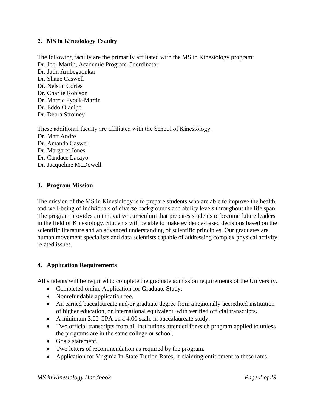#### <span id="page-3-0"></span>**2. MS in Kinesiology Faculty**

The following faculty are the primarily affiliated with the MS in Kinesiology program: Dr. Joel Martin, Academic Program Coordinator Dr. Jatin Ambegaonkar Dr. Shane Caswell Dr. Nelson Cortes Dr. Charlie Robison Dr. Marcie Fyock-Martin Dr. Eddo Oladipo Dr. Debra Stroiney

These additional faculty are affiliated with the School of Kinesiology. Dr. Matt Andre Dr. Amanda Caswell Dr. Margaret Jones Dr. Candace Lacayo Dr. Jacqueline McDowell

#### <span id="page-3-1"></span>**3. Program Mission**

The mission of the MS in Kinesiology is to prepare students who are able to improve the health and well-being of individuals of diverse backgrounds and ability levels throughout the life span. The program provides an innovative curriculum that prepares students to become future leaders in the field of Kinesiology. Students will be able to make evidence-based decisions based on the scientific literature and an advanced understanding of scientific principles. Our graduates are human movement specialists and data scientists capable of addressing complex physical activity related issues.

#### <span id="page-3-2"></span>**4. Application Requirements**

All students will be required to complete the graduate admission requirements of the University.

- Completed online Application for Graduate Study.
- Nonrefundable application fee.
- An earned baccalaureate and/or graduate degree from a regionally accredited institution of higher education, or international equivalent, with verified official transcripts**.**
- A minimum 3.00 GPA on a 4.00 scale in baccalaureate study**.**
- Two official transcripts from all institutions attended for each program applied to unless the programs are in the same college or school.
- Goals statement.
- Two letters of recommendation as required by the program.
- Application for Virginia In-State Tuition Rates, if claiming entitlement to these rates.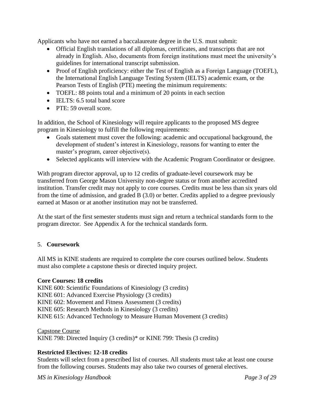Applicants who have not earned a baccalaureate degree in the U.S. must submit:

- Official English translations of all diplomas, certificates, and transcripts that are not already in English. Also, documents from foreign institutions must meet the university's guidelines for international transcript submission.
- Proof of English proficiency: either the Test of English as a Foreign Language (TOEFL), the International English Language Testing System (IELTS) academic exam, or the Pearson Tests of English (PTE) meeting the minimum requirements:
- TOEFL: 88 points total and a minimum of 20 points in each section
- IELTS: 6.5 total band score
- PTE: 59 overall score.

In addition, the School of Kinesiology will require applicants to the proposed MS degree program in Kinesiology to fulfill the following requirements:

- Goals statement must cover the following: academic and occupational background, the development of student's interest in Kinesiology, reasons for wanting to enter the master's program, career objective(s).
- Selected applicants will interview with the Academic Program Coordinator or designee.

With program director approval, up to 12 credits of graduate-level coursework may be transferred from George Mason University non-degree status or from another accredited institution. Transfer credit may not apply to core courses. Credits must be less than six years old from the time of admission, and graded B (3.0) or better. Credits applied to a degree previously earned at Mason or at another institution may not be transferred.

At the start of the first semester students must sign and return a technical standards form to the program director. See Appendix A for the technical standards form.

#### <span id="page-4-0"></span>5. **Coursework**

All MS in KINE students are required to complete the core courses outlined below. Students must also complete a capstone thesis or directed inquiry project.

#### **Core Courses: 18 credits**

KINE 600: Scientific Foundations of Kinesiology (3 credits) KINE 601: Advanced Exercise Physiology (3 credits) KINE 602: Movement and Fitness Assessment (3 credits) KINE 605: Research Methods in Kinesiology (3 credits) KINE 615: Advanced Technology to Measure Human Movement (3 credits)

Capstone Course KINE 798: Directed Inquiry (3 credits)\* or KINE 799: Thesis (3 credits)

#### **Restricted Electives: 12-18 credits**

Students will select from a prescribed list of courses. All students must take at least one course from the following courses. Students may also take two courses of general electives.

*MS in Kinesiology Handbook Page 3 of 29*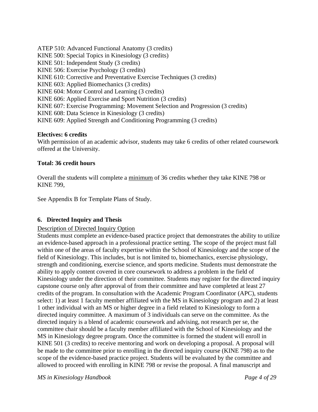ATEP 510: Advanced Functional Anatomy (3 credits) KINE 500: Special Topics in Kinesiology (3 credits) KINE 501: Independent Study (3 credits) KINE 506: Exercise Psychology (3 credits) KINE 610: Corrective and Preventative Exercise Techniques (3 credits) KINE 603: Applied Biomechanics (3 credits) KINE 604: Motor Control and Learning (3 credits) KINE 606: Applied Exercise and Sport Nutrition (3 credits) KINE 607: Exercise Programming: Movement Selection and Progression (3 credits) KINE 608: Data Science in Kinesiology (3 credits) KINE 609: Applied Strength and Conditioning Programming (3 credits)

#### **Electives: 6 credits**

With permission of an academic advisor, students may take 6 credits of other related coursework offered at the University.

#### **Total: 36 credit hours**

Overall the students will complete a minimum of 36 credits whether they take KINE 798 or KINE 799,

See Appendix B for Template Plans of Study.

#### <span id="page-5-0"></span>**6. Directed Inquiry and Thesis**

#### Description of Directed Inquiry Option

Students must complete an evidence-based practice project that demonstrates the ability to utilize an evidence-based approach in a professional practice setting. The scope of the project must fall within one of the areas of faculty expertise within the School of Kinesiology and the scope of the field of Kinesiology. This includes, but is not limited to, biomechanics, exercise physiology, strength and conditioning, exercise science, and sports medicine. Students must demonstrate the ability to apply content covered in core coursework to address a problem in the field of Kinesiology under the direction of their committee. Students may register for the directed inquiry capstone course only after approval of from their committee and have completed at least 27 credits of the program. In consultation with the Academic Program Coordinator (APC), students select: 1) at least 1 faculty member affiliated with the MS in Kinesiology program and 2) at least 1 other individual with an MS or higher degree in a field related to Kinesiology to form a directed inquiry committee. A maximum of 3 individuals can serve on the committee. As the directed inquiry is a blend of academic coursework and advising, not research per se, the committee chair should be a faculty member affiliated with the School of Kinesiology and the MS in Kinesiology degree program. Once the committee is formed the student will enroll in KINE 501 (3 credits) to receive mentoring and work on developing a proposal. A proposal will be made to the committee prior to enrolling in the directed inquiry course (KINE 798) as to the scope of the evidence-based practice project. Students will be evaluated by the committee and allowed to proceed with enrolling in KINE 798 or revise the proposal. A final manuscript and

*MS in Kinesiology Handbook Page 4 of 29*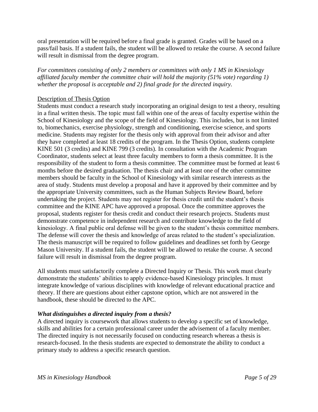oral presentation will be required before a final grade is granted. Grades will be based on a pass/fail basis. If a student fails, the student will be allowed to retake the course. A second failure will result in dismissal from the degree program.

*For committees consisting of only 2 members or committees with only 1 MS in Kinesiology affiliated faculty member the committee chair will hold the majority (51% vote) regarding 1) whether the proposal is acceptable and 2) final grade for the directed inquiry.*

#### Description of Thesis Option

Students must conduct a research study incorporating an original design to test a theory, resulting in a final written thesis. The topic must fall within one of the areas of faculty expertise within the School of Kinesiology and the scope of the field of Kinesiology. This includes, but is not limited to, biomechanics, exercise physiology, strength and conditioning, exercise science, and sports medicine. Students may register for the thesis only with approval from their advisor and after they have completed at least 18 credits of the program. In the Thesis Option, students complete KINE 501 (3 credits) and KINE 799 (3 credits). In consultation with the Academic Program Coordinator, students select at least three faculty members to form a thesis committee. It is the responsibility of the student to form a thesis committee. The committee must be formed at least 6 months before the desired graduation. The thesis chair and at least one of the other committee members should be faculty in the School of Kinesiology with similar research interests as the area of study. Students must develop a proposal and have it approved by their committee and by the appropriate University committees, such as the Human Subjects Review Board, before undertaking the project. Students may not register for thesis credit until the student's thesis committee and the KINE APC have approved a proposal. Once the committee approves the proposal, students register for thesis credit and conduct their research projects. Students must demonstrate competence in independent research and contribute knowledge to the field of kinesiology. A final public oral defense will be given to the student's thesis committee members. The defense will cover the thesis and knowledge of areas related to the student's specialization. The thesis manuscript will be required to follow guidelines and deadlines set forth by George Mason University. If a student fails, the student will be allowed to retake the course. A second failure will result in dismissal from the degree program.

All students must satisfactorily complete a Directed Inquiry or Thesis. This work must clearly demonstrate the students' abilities to apply evidence-based Kinesiology principles. It must integrate knowledge of various disciplines with knowledge of relevant educational practice and theory. If there are questions about either capstone option, which are not answered in the handbook, these should be directed to the APC.

#### *What distinguishes a directed inquiry from a thesis?*

A directed inquiry is coursework that allows students to develop a specific set of knowledge, skills and abilities for a certain professional career under the advisement of a faculty member. The directed inquiry is not necessarily focused on conducting research whereas a thesis is research-focused. In the thesis students are expected to demonstrate the ability to conduct a primary study to address a specific research question.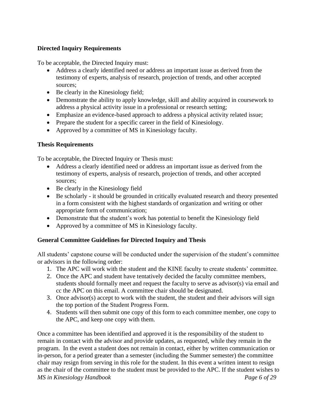# **Directed Inquiry Requirements**

To be acceptable, the Directed Inquiry must:

- Address a clearly identified need or address an important issue as derived from the testimony of experts, analysis of research, projection of trends, and other accepted sources;
- Be clearly in the Kinesiology field;
- Demonstrate the ability to apply knowledge, skill and ability acquired in coursework to address a physical activity issue in a professional or research setting;
- Emphasize an evidence-based approach to address a physical activity related issue;
- Prepare the student for a specific career in the field of Kinesiology.
- Approved by a committee of MS in Kinesiology faculty.

#### **Thesis Requirements**

To be acceptable, the Directed Inquiry or Thesis must:

- Address a clearly identified need or address an important issue as derived from the testimony of experts, analysis of research, projection of trends, and other accepted sources;
- Be clearly in the Kinesiology field
- Be scholarly it should be grounded in critically evaluated research and theory presented in a form consistent with the highest standards of organization and writing or other appropriate form of communication;
- Demonstrate that the student's work has potential to benefit the Kinesiology field
- Approved by a committee of MS in Kinesiology faculty.

#### **General Committee Guidelines for Directed Inquiry and Thesis**

All students' capstone course will be conducted under the supervision of the student's committee or advisors in the following order:

- 1. The APC will work with the student and the KINE faculty to create students' committee.
- 2. Once the APC and student have tentatively decided the faculty committee members, students should formally meet and request the faculty to serve as advisor(s) via email and cc the APC on this email. A committee chair should be designated.
- 3. Once advisor(s) accept to work with the student, the student and their advisors will sign the top portion of the Student Progress Form.
- 4. Students will then submit one copy of this form to each committee member, one copy to the APC, and keep one copy with them.

*MS in Kinesiology Handbook Page 6 of 29* Once a committee has been identified and approved it is the responsibility of the student to remain in contact with the advisor and provide updates, as requested, while they remain in the program. In the event a student does not remain in contact, either by written communication or in-person, for a period greater than a semester (including the Summer semester) the committee chair may resign from serving in this role for the student. In this event a written intent to resign as the chair of the committee to the student must be provided to the APC. If the student wishes to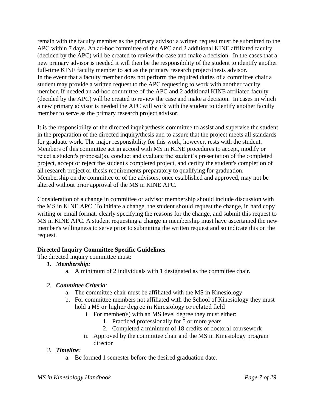remain with the faculty member as the primary advisor a written request must be submitted to the APC within 7 days. An ad-hoc committee of the APC and 2 additional KINE affiliated faculty (decided by the APC) will be created to review the case and make a decision. In the cases that a new primary advisor is needed it will then be the responsibility of the student to identify another full-time KINE faculty member to act as the primary research project/thesis advisor. In the event that a faculty member does not perform the required duties of a committee chair a student may provide a written request to the APC requesting to work with another faculty member. If needed an ad-hoc committee of the APC and 2 additional KINE affiliated faculty (decided by the APC) will be created to review the case and make a decision. In cases in which a new primary advisor is needed the APC will work with the student to identify another faculty member to serve as the primary research project advisor.

It is the responsibility of the directed inquiry/thesis committee to assist and supervise the student in the preparation of the directed inquiry/thesis and to assure that the project meets all standards for graduate work. The major responsibility for this work, however, rests with the student. Members of this committee act in accord with MS in KINE procedures to accept, modify or reject a student's proposal(s), conduct and evaluate the student's presentation of the completed project, accept or reject the student's completed project, and certify the student's completion of all research project or thesis requirements preparatory to qualifying for graduation. Membership on the committee or of the advisors, once established and approved, may not be altered without prior approval of the MS in KINE APC.

Consideration of a change in committee or advisor membership should include discussion with the MS in KINE APC. To initiate a change, the student should request the change, in hard copy writing or email format, clearly specifying the reasons for the change, and submit this request to MS in KINE APC. A student requesting a change in membership must have ascertained the new member's willingness to serve prior to submitting the written request and so indicate this on the request.

#### **Directed Inquiry Committee Specific Guidelines**

The directed inquiry committee must:

- *1. Membership:* 
	- a. A minimum of 2 individuals with 1 designated as the committee chair.

#### *2. Committee Criteria:*

- a. The committee chair must be affiliated with the MS in Kinesiology
- b. For committee members not affiliated with the School of Kinesiology they must hold a MS or higher degree in Kinesiology or related field
	- i. For member(s) with an MS level degree they must either:
		- 1. Practiced professionally for 5 or more years
		- 2. Completed a minimum of 18 credits of doctoral coursework
	- ii. Approved by the committee chair and the MS in Kinesiology program director

#### *3. Timeline:*

a. Be formed 1 semester before the desired graduation date.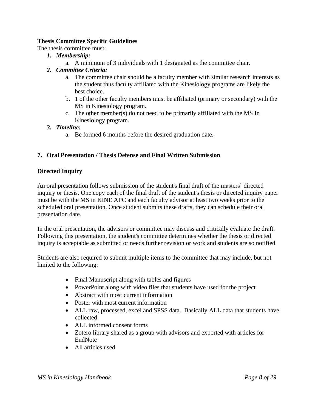#### **Thesis Committee Specific Guidelines**

The thesis committee must:

- *1. Membership:*
	- a. A minimum of 3 individuals with 1 designated as the committee chair.

#### *2. Committee Criteria:*

- a. The committee chair should be a faculty member with similar research interests as the student thus faculty affiliated with the Kinesiology programs are likely the best choice.
- b. 1 of the other faculty members must be affiliated (primary or secondary) with the MS in Kinesiology program.
- c. The other member(s) do not need to be primarily affiliated with the MS In Kinesiology program.

#### *3. Timeline:*

a. Be formed 6 months before the desired graduation date.

#### <span id="page-9-0"></span>**7. Oral Presentation / Thesis Defense and Final Written Submission**

#### **Directed Inquiry**

An oral presentation follows submission of the student's final draft of the masters' directed inquiry or thesis. One copy each of the final draft of the student's thesis or directed inquiry paper must be with the MS in KINE APC and each faculty advisor at least two weeks prior to the scheduled oral presentation. Once student submits these drafts, they can schedule their oral presentation date.

In the oral presentation, the advisors or committee may discuss and critically evaluate the draft. Following this presentation, the student's committee determines whether the thesis or directed inquiry is acceptable as submitted or needs further revision or work and students are so notified.

Students are also required to submit multiple items to the committee that may include, but not limited to the following:

- Final Manuscript along with tables and figures
- PowerPoint along with video files that students have used for the project
- Abstract with most current information
- Poster with most current information
- ALL raw, processed, excel and SPSS data. Basically ALL data that students have collected
- ALL informed consent forms
- Zotero library shared as a group with advisors and exported with articles for EndNote
- All articles used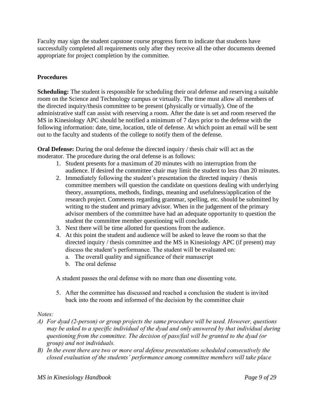Faculty may sign the student capstone course progress form to indicate that students have successfully completed all requirements only after they receive all the other documents deemed appropriate for project completion by the committee.

#### **Procedures**

**Scheduling:** The student is responsible for scheduling their oral defense and reserving a suitable room on the Science and Technology campus or virtually. The time must allow all members of the directed inquiry/thesis committee to be present (physically or virtually). One of the administrative staff can assist with reserving a room. After the date is set and room reserved the MS in Kinesiology APC should be notified a minimum of 7 days prior to the defense with the following information: date, time, location, title of defense. At which point an email will be sent out to the faculty and students of the college to notify them of the defense.

**Oral Defense:** During the oral defense the directed inquiry / thesis chair will act as the moderator. The procedure during the oral defense is as follows:

- 1. Student presents for a maximum of 20 minutes with no interruption from the audience. If desired the committee chair may limit the student to less than 20 minutes.
- 2. Immediately following the student's presentation the directed inquiry / thesis committee members will question the candidate on questions dealing with underlying theory, assumptions, methods, findings, meaning and usefulness/application of the research project. Comments regarding grammar, spelling, etc. should be submitted by writing to the student and primary advisor. When in the judgement of the primary advisor members of the committee have had an adequate opportunity to question the student the committee member questioning will conclude.
- 3. Next there will be time allotted for questions from the audience.
- 4. At this point the student and audience will be asked to leave the room so that the directed inquiry / thesis committee and the MS in Kinesiology APC (if present) may discuss the student's performance. The student will be evaluated on:
	- a. The overall quality and significance of their manuscript
	- b. The oral defense

A student passes the oral defense with no more than one dissenting vote.

5. After the committee has discussed and reached a conclusion the student is invited back into the room and informed of the decision by the committee chair

#### *Notes:*

- *A) For dyad (2-person) or group projects the same procedure will be used. However, questions may be asked to a specific individual of the dyad and only answered by that individual during questioning from the committee. The decision of pass/fail will be granted to the dyad (or group) and not individuals.*
- *B) In the event there are two or more oral defense presentations scheduled consecutively the closed evaluation of the students' performance among committee members will take place*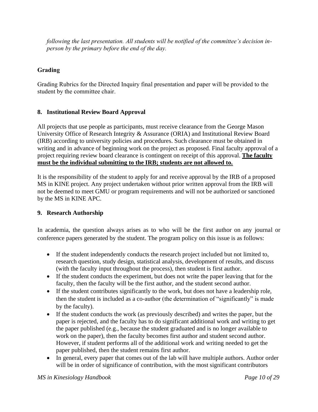*following the last presentation. All students will be notified of the committee's decision inperson by the primary before the end of the day.*

# **Grading**

Grading Rubrics for the Directed Inquiry final presentation and paper will be provided to the student by the committee chair.

#### <span id="page-11-0"></span>**8. Institutional Review Board Approval**

All projects that use people as participants, must receive clearance from the George Mason University Office of Research Integrity & Assurance (ORIA) and Institutional Review Board (IRB) according to university policies and procedures. Such clearance must be obtained in writing and in advance of beginning work on the project as proposed. Final faculty approval of a project requiring review board clearance is contingent on receipt of this approval. **The faculty must be the individual submitting to the IRB; students are not allowed to.**

It is the responsibility of the student to apply for and receive approval by the IRB of a proposed MS in KINE project. Any project undertaken without prior written approval from the IRB will not be deemed to meet GMU or program requirements and will not be authorized or sanctioned by the MS in KINE APC.

#### <span id="page-11-1"></span>**9. Research Authorship**

In academia, the question always arises as to who will be the first author on any journal or conference papers generated by the student. The program policy on this issue is as follows:

- If the student independently conducts the research project included but not limited to, research question, study design, statistical analysis, development of results, and discuss (with the faculty input throughout the process), then student is first author.
- If the student conducts the experiment, but does not write the paper leaving that for the faculty, then the faculty will be the first author, and the student second author.
- If the student contributes significantly to the work, but does not have a leadership role, then the student is included as a co-author (the determination of "significantly" is made by the faculty).
- If the student conducts the work (as previously described) and writes the paper, but the paper is rejected, and the faculty has to do significant additional work and writing to get the paper published (e.g., because the student graduated and is no longer available to work on the paper), then the faculty becomes first author and student second author. However, if student performs all of the additional work and writing needed to get the paper published, then the student remains first author.
- In general, every paper that comes out of the lab will have multiple authors. Author order will be in order of significance of contribution, with the most significant contributors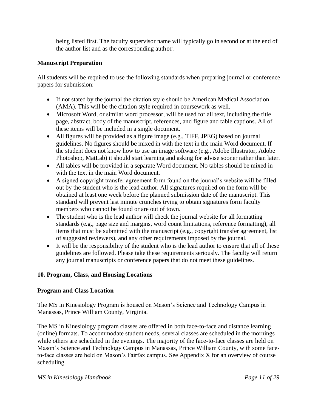being listed first. The faculty supervisor name will typically go in second or at the end of the author list and as the corresponding author.

# **Manuscript Preparation**

All students will be required to use the following standards when preparing journal or conference papers for submission:

- If not stated by the journal the citation style should be American Medical Association (AMA). This will be the citation style required in coursework as well.
- Microsoft Word, or similar word processor, will be used for all text, including the title page, abstract, body of the manuscript, references, and figure and table captions. All of these items will be included in a single document.
- All figures will be provided as a figure image (e.g., TIFF, JPEG) based on journal guidelines. No figures should be mixed in with the text in the main Word document. If the student does not know how to use an image software (e.g., Adobe Illustrator, Adobe Photoshop, MatLab) it should start learning and asking for advise sooner rather than later.
- All tables will be provided in a separate Word document. No tables should be mixed in with the text in the main Word document.
- A signed copyright transfer agreement form found on the journal's website will be filled out by the student who is the lead author. All signatures required on the form will be obtained at least one week before the planned submission date of the manuscript. This standard will prevent last minute crunches trying to obtain signatures form faculty members who cannot be found or are out of town.
- The student who is the lead author will check the journal website for all formatting standards (e.g., page size and margins, word count limitations, reference formatting), all items that must be submitted with the manuscript (e.g., copyright transfer agreement, list of suggested reviewers), and any other requirements imposed by the journal.
- It will be the responsibility of the student who is the lead author to ensure that all of these guidelines are followed. Please take these requirements seriously. The faculty will return any journal manuscripts or conference papers that do not meet these guidelines.

# <span id="page-12-0"></span>**10. Program, Class, and Housing Locations**

#### **Program and Class Location**

The MS in Kinesiology Program is housed on Mason's Science and Technology Campus in Manassas, Prince William County, Virginia.

The MS in Kinesiology program classes are offered in both face-to-face and distance learning (online) formats. To accommodate student needs, several classes are scheduled in the mornings while others are scheduled in the evenings. The majority of the face-to-face classes are held on Mason's Science and Technology Campus in Manassas, Prince William County, with some faceto-face classes are held on Mason's Fairfax campus. See Appendix X for an overview of course scheduling.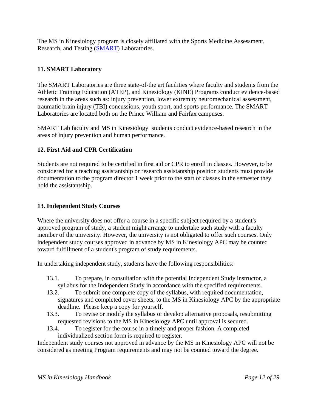The MS in Kinesiology program is closely affiliated with the Sports Medicine Assessment, Research, and Testing [\(SMART\)](http://smartlab.gmu.edu/) Laboratories.

#### <span id="page-13-0"></span>**11. SMART Laboratory**

The SMART Laboratories are three state-of-the art facilities where faculty and students from the Athletic Training Education (ATEP), and Kinesiology (KINE) Programs conduct evidence-based research in the areas such as: injury prevention, lower extremity neuromechanical assessment, traumatic brain injury (TBI) concussions, youth sport, and sports performance. The SMART Laboratories are located both on the Prince William and Fairfax campuses.

SMART Lab faculty and MS in Kinesiology students conduct evidence-based research in the areas of injury prevention and human performance.

#### **12. First Aid and CPR Certification**

Students are not required to be certified in first aid or CPR to enroll in classes. However, to be considered for a teaching assistantship or research assistantship position students must provide documentation to the program director 1 week prior to the start of classes in the semester they hold the assistantship.

#### <span id="page-13-1"></span>**13. Independent Study Courses**

Where the university does not offer a course in a specific subject required by a student's approved program of study, a student might arrange to undertake such study with a faculty member of the university. However, the university is not obligated to offer such courses. Only independent study courses approved in advance by MS in Kinesiology APC may be counted toward fulfillment of a student's program of study requirements.

In undertaking independent study, students have the following responsibilities:

- 13.1. To prepare, in consultation with the potential Independent Study instructor, a syllabus for the Independent Study in accordance with the specified requirements.
- 13.2. To submit one complete copy of the syllabus, with required documentation, signatures and completed cover sheets, to the MS in Kinesiology APC by the appropriate deadline. Please keep a copy for yourself.
- 13.3. To revise or modify the syllabus or develop alternative proposals, resubmitting requested revisions to the MS in Kinesiology APC until approval is secured.
- 13.4. To register for the course in a timely and proper fashion. A completed individualized section form is required to register.

Independent study courses not approved in advance by the MS in Kinesiology APC will not be considered as meeting Program requirements and may not be counted toward the degree.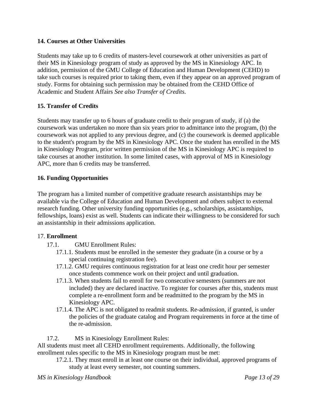#### <span id="page-14-0"></span>**14. Courses at Other Universities**

Students may take up to 6 credits of masters-level coursework at other universities as part of their MS in Kinesiology program of study as approved by the MS in Kinesiology APC. In addition, permission of the GMU College of Education and Human Development (CEHD) to take such courses is required prior to taking them, even if they appear on an approved program of study. Forms for obtaining such permission may be obtained from the CEHD Office of Academic and Student Affairs *See also Transfer of Credits.* 

# <span id="page-14-1"></span>**15. Transfer of Credits**

Students may transfer up to 6 hours of graduate credit to their program of study, if (a) the coursework was undertaken no more than six years prior to admittance into the program, (b) the coursework was not applied to any previous degree, and (c) the coursework is deemed applicable to the student's program by the MS in Kinesiology APC. Once the student has enrolled in the MS in Kinesiology Program, prior written permission of the MS in Kinesiology APC is required to take courses at another institution. In some limited cases, with approval of MS in Kinesiology APC, more than 6 credits may be transferred.

# <span id="page-14-2"></span>**16. Funding Opportunities**

The program has a limited number of competitive graduate research assistantships may be available via the College of Education and Human Development and others subject to external research funding. Other university funding opportunities (e.g., scholarships, assistantships, fellowships, loans) exist as well. Students can indicate their willingness to be considered for such an assistantship in their admissions application.

#### <span id="page-14-3"></span>17. **Enrollment**

- 17.1. GMU Enrollment Rules:
	- 17.1.1. Students must be enrolled in the semester they graduate (in a course or by a special continuing registration fee).
	- 17.1.2. GMU requires continuous registration for at least one credit hour per semester once students commence work on their project and until graduation.
	- 17.1.3. When students fail to enroll for two consecutive semesters (summers are not included) they are declared inactive. To register for courses after this, students must complete a re-enrollment form and be readmitted to the program by the MS in Kinesiology APC.
	- 17.1.4. The APC is not obligated to readmit students. Re-admission, if granted, is under the policies of the graduate catalog and Program requirements in force at the time of the re-admission.

17.2. MS in Kinesiology Enrollment Rules:

All students must meet all CEHD enrollment requirements. Additionally, the following enrollment rules specific to the MS in Kinesiology program must be met:

17.2.1. They must enroll in at least one course on their individual, approved programs of study at least every semester, not counting summers.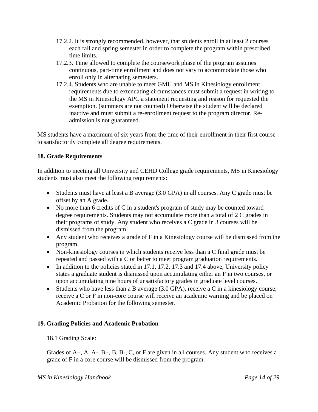- 17.2.2. It is strongly recommended, however, that students enroll in at least 2 courses each fall and spring semester in order to complete the program within prescribed time limits.
- 17.2.3. Time allowed to complete the coursework phase of the program assumes continuous, part-time enrollment and does not vary to accommodate those who enroll only in alternating semesters.
- 17.2.4. Students who are unable to meet GMU and MS in Kinesiology enrollment requirements due to extenuating circumstances must submit a request in writing to the MS in Kinesiology APC a statement requesting and reason for requested the exemption. (summers are not counted) Otherwise the student will be declared inactive and must submit a re-enrollment request to the program director. Readmission is not guaranteed.

MS students have a maximum of six years from the time of their enrollment in their first course to satisfactorily complete all degree requirements.

#### <span id="page-15-0"></span>**18. Grade Requirements**

In addition to meeting all University and CEHD College grade requirements, MS in Kinesiology students must also meet the following requirements:

- Students must have at least a B average (3.0 GPA) in all courses. Any C grade must be offset by an A grade.
- No more than 6 credits of C in a student's program of study may be counted toward degree requirements. Students may not accumulate more than a total of 2 C grades in their programs of study. Any student who receives a C grade in 3 courses will be dismissed from the program.
- Any student who receives a grade of F in a Kinesiology course will be dismissed from the program.
- Non-kinesiology courses in which students receive less than a C final grade must be repeated and passed with a C or better to meet program graduation requirements.
- In addition to the policies stated in 17.1, 17.2, 17.3 and 17.4 above, University policy states a graduate student is dismissed upon accumulating either an F in two courses, or upon accumulating nine hours of unsatisfactory grades in graduate level courses.
- Students who have less than a B average (3.0 GPA), receive a C in a kinesiology course, receive a C or F in non-core course will receive an academic warning and be placed on Academic Probation for the following semester.

#### <span id="page-15-1"></span>**19. Grading Policies and Academic Probation**

18.1 Grading Scale:

Grades of  $A_+, A_+, A_-, B_+, B_-, C$ , or F are given in all courses. Any student who receives a grade of F in a core course will be dismissed from the program.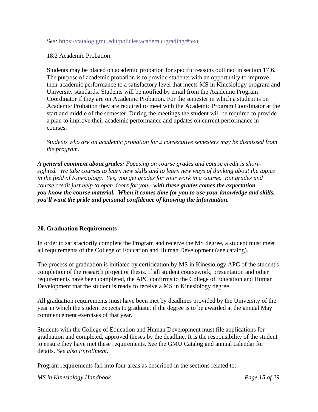#### *See:* <https://catalog.gmu.edu/policies/academic/grading/#text>

#### 18.2 Academic Probation:

Students may be placed on academic probation for specific reasons outlined in section 17.6. The purpose of academic probation is to provide students with an opportunity to improve their academic performance to a satisfactory level that meets MS in Kinesiology program and University standards. Students will be notified by email from the Academic Program Coordinator if they are on Academic Probation. For the semester in which a student is on Academic Probation they are required to meet with the Academic Program Coordinator at the start and middle of the semester. During the meetings the student will be required to provide a plan to improve their academic performance and updates on current performance in courses.

*Students who are on academic probation for 2 consecutive semesters may be dismissed from the program.*

*A general comment about grades: Focusing on course grades and course credit is shortsighted. We take courses to learn new skills and to learn new ways of thinking about the topics in the field of Kinesiology. Yes, you get grades for your work in a course. But grades and course credit just help to open doors for you - with these grades comes the expectation you know the course material. When it comes time for you to use your knowledge and skills, you'll want the pride and personal confidence of knowing the information.*

#### <span id="page-16-0"></span>**20. Graduation Requirements**

In order to satisfactorily complete the Program and receive the MS degree, a student must meet all requirements of the College of Education and Human Development (see catalog).

The process of graduation is initiated by certification by MS in Kinesiology APC of the student's completion of the research project or thesis. If all student coursework, presentation and other requirements have been completed, the APC confirms to the College of Education and Human Development that the student is ready to receive a MS in Kinesiology degree.

All graduation requirements must have been met by deadlines provided by the University of the year in which the student expects to graduate, if the degree is to be awarded at the annual May commencement exercises of that year.

Students with the College of Education and Human Development must file applications for graduation and completed, approved theses by the deadline. It is the responsibility of the student to ensure they have met these requirements. See the GMU Catalog and annual calendar for details. *See also Enrollment.* 

Program requirements fall into four areas as described in the sections related to:

*MS in Kinesiology Handbook Page 15 of 29*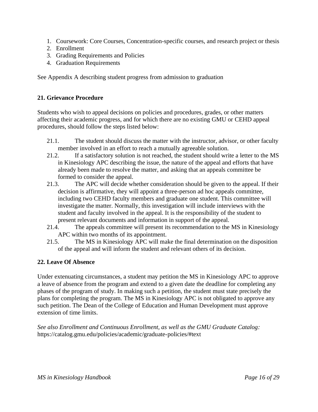- 1. Coursework: Core Courses, Concentration-specific courses, and research project or thesis
- 2. Enrollment
- 3. Grading Requirements and Policies
- 4. Graduation Requirements

See Appendix A describing student progress from admission to graduation

#### <span id="page-17-0"></span>**21. Grievance Procedure**

Students who wish to appeal decisions on policies and procedures, grades, or other matters affecting their academic progress, and for which there are no existing GMU or CEHD appeal procedures, should follow the steps listed below:

- 21.1. The student should discuss the matter with the instructor, advisor, or other faculty member involved in an effort to reach a mutually agreeable solution.
- 21.2. If a satisfactory solution is not reached, the student should write a letter to the MS in Kinesiology APC describing the issue, the nature of the appeal and efforts that have already been made to resolve the matter, and asking that an appeals committee be formed to consider the appeal.
- 21.3. The APC will decide whether consideration should be given to the appeal. If their decision is affirmative, they will appoint a three-person ad hoc appeals committee, including two CEHD faculty members and graduate one student. This committee will investigate the matter. Normally, this investigation will include interviews with the student and faculty involved in the appeal. It is the responsibility of the student to present relevant documents and information in support of the appeal.
- 21.4. The appeals committee will present its recommendation to the MS in Kinesiology APC within two months of its appointment.
- 21.5. The MS in Kinesiology APC will make the final determination on the disposition of the appeal and will inform the student and relevant others of its decision.

#### <span id="page-17-1"></span>**22. Leave Of Absence**

Under extenuating circumstances, a student may petition the MS in Kinesiology APC to approve a leave of absence from the program and extend to a given date the deadline for completing any phases of the program of study. In making such a petition, the student must state precisely the plans for completing the program. The MS in Kinesiology APC is not obligated to approve any such petition. The Dean of the College of Education and Human Development must approve extension of time limits.

*See also Enrollment and Continuous Enrollment, as well as the GMU Graduate Catalog:* https://catalog.gmu.edu/policies/academic/graduate-policies/#text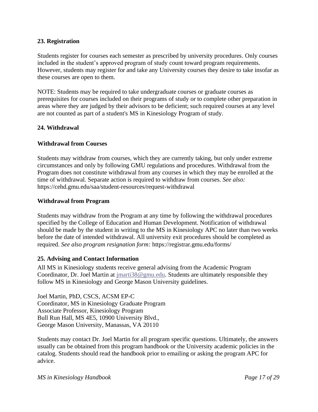#### <span id="page-18-0"></span>**23. Registration**

Students register for courses each semester as prescribed by university procedures. Only courses included in the student's approved program of study count toward program requirements. However, students may register for and take any University courses they desire to take insofar as these courses are open to them.

NOTE: Students may be required to take undergraduate courses or graduate courses as prerequisites for courses included on their programs of study or to complete other preparation in areas where they are judged by their advisors to be deficient; such required courses at any level are not counted as part of a student's MS in Kinesiology Program of study.

#### <span id="page-18-1"></span>**24. Withdrawal**

#### **Withdrawal from Courses**

Students may withdraw from courses, which they are currently taking, but only under extreme circumstances and only by following GMU regulations and procedures. Withdrawal from the Program does not constitute withdrawal from any courses in which they may be enrolled at the time of withdrawal. Separate action is required to withdraw from courses. *See also:* https://cehd.gmu.edu/saa/student-resources/request-withdrawal

#### **Withdrawal from Program**

Students may withdraw from the Program at any time by following the withdrawal procedures specified by the College of Education and Human Development. Notification of withdrawal should be made by the student in writing to the MS in Kinesiology APC no later than two weeks before the date of intended withdrawal. All university exit procedures should be completed as required. *See also program resignation form:* https://registrar.gmu.edu/forms/

#### <span id="page-18-2"></span>**25. Advising and Contact Information**

All MS in Kinesiology students receive general advising from the Academic Program Coordinator, Dr. Joel Martin at [jmarti38@gmu.edu.](mailto:jmarti38@gmu.edu) Students are ultimately responsible they follow MS in Kinesiology and George Mason University guidelines.

Joel Martin, PhD, CSCS, ACSM EP-C Coordinator, MS in Kinesiology Graduate Program Associate Professor, Kinesiology Program Bull Run Hall, MS 4E5, 10900 University Blvd., George Mason University, Manassas, VA 20110

Students may contact Dr. Joel Martin for all program specific questions. Ultimately, the answers usually can be obtained from this program handbook or the University academic policies in the catalog. Students should read the handbook prior to emailing or asking the program APC for advice.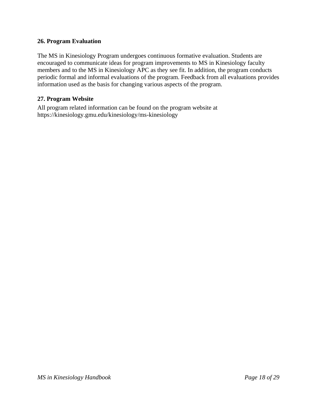#### <span id="page-19-0"></span>**26. Program Evaluation**

The MS in Kinesiology Program undergoes continuous formative evaluation. Students are encouraged to communicate ideas for program improvements to MS in Kinesiology faculty members and to the MS in Kinesiology APC as they see fit. In addition, the program conducts periodic formal and informal evaluations of the program. Feedback from all evaluations provides information used as the basis for changing various aspects of the program.

#### <span id="page-19-1"></span>**27. Program Website**

All program related information can be found on the program website at https://kinesiology.gmu.edu/kinesiology/ms-kinesiology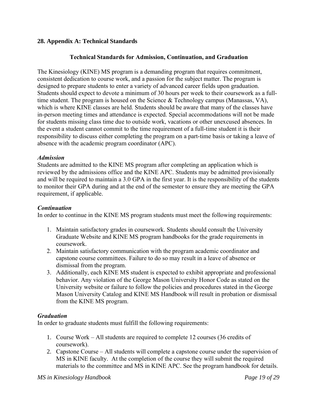#### <span id="page-20-0"></span>**28. Appendix A: Technical Standards**

#### **Technical Standards for Admission, Continuation, and Graduation**

The Kinesiology (KINE) MS program is a demanding program that requires commitment, consistent dedication to course work, and a passion for the subject matter. The program is designed to prepare students to enter a variety of advanced career fields upon graduation. Students should expect to devote a minimum of 30 hours per week to their coursework as a fulltime student. The program is housed on the Science & Technology campus (Manassas, VA), which is where KINE classes are held. Students should be aware that many of the classes have in-person meeting times and attendance is expected. Special accommodations will not be made for students missing class time due to outside work, vacations or other unexcused absences. In the event a student cannot commit to the time requirement of a full-time student it is their responsibility to discuss either completing the program on a part-time basis or taking a leave of absence with the academic program coordinator (APC).

#### *Admission*

Students are admitted to the KINE MS program after completing an application which is reviewed by the admissions office and the KINE APC. Students may be admitted provisionally and will be required to maintain a 3.0 GPA in the first year. It is the responsibility of the students to monitor their GPA during and at the end of the semester to ensure they are meeting the GPA requirement, if applicable.

#### *Continuation*

In order to continue in the KINE MS program students must meet the following requirements:

- 1. Maintain satisfactory grades in coursework. Students should consult the University Graduate Website and KINE MS program handbooks for the grade requirements in coursework.
- 2. Maintain satisfactory communication with the program academic coordinator and capstone course committees. Failure to do so may result in a leave of absence or dismissal from the program.
- 3. Additionally, each KINE MS student is expected to exhibit appropriate and professional behavior. Any violation of the George Mason University Honor Code as stated on the University website or failure to follow the policies and procedures stated in the George Mason University Catalog and KINE MS Handbook will result in probation or dismissal from the KINE MS program.

#### *Graduation*

In order to graduate students must fulfill the following requirements:

- 1. Course Work All students are required to complete 12 courses (36 credits of coursework).
- 2. Capstone Course All students will complete a capstone course under the supervision of MS in KINE faculty. At the completion of the course they will submit the required materials to the committee and MS in KINE APC. See the program handbook for details.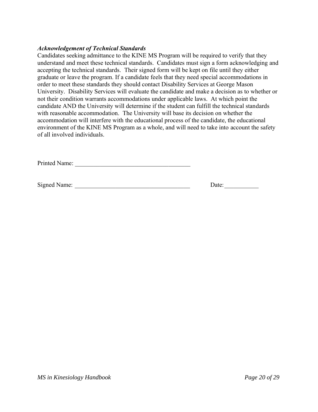#### *Acknowledgement of Technical Standards*

Candidates seeking admittance to the KINE MS Program will be required to verify that they understand and meet these technical standards. Candidates must sign a form acknowledging and accepting the technical standards. Their signed form will be kept on file until they either graduate or leave the program. If a candidate feels that they need special accommodations in order to meet these standards they should contact Disability Services at George Mason University. Disability Services will evaluate the candidate and make a decision as to whether or not their condition warrants accommodations under applicable laws. At which point the candidate AND the University will determine if the student can fulfill the technical standards with reasonable accommodation. The University will base its decision on whether the accommodation will interfere with the educational process of the candidate, the educational environment of the KINE MS Program as a whole, and will need to take into account the safety of all involved individuals.

Printed Name:

Signed Name: \_\_\_\_\_\_\_\_\_\_\_\_\_\_\_\_\_\_\_\_\_\_\_\_\_\_\_\_\_\_\_\_\_\_\_\_\_ Date:\_\_\_\_\_\_\_\_\_\_\_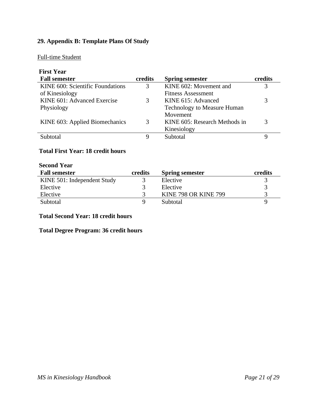# <span id="page-22-0"></span>**29. Appendix B: Template Plans Of Study**

#### Full-time Student

| <b>First Year</b>                |         |                                    |         |  |
|----------------------------------|---------|------------------------------------|---------|--|
| <b>Fall semester</b>             | credits | <b>Spring semester</b>             | credits |  |
| KINE 600: Scientific Foundations | 3       | KINE 602: Movement and             | 3       |  |
| of Kinesiology                   |         | <b>Fitness Assessment</b>          |         |  |
| KINE 601: Advanced Exercise      | 3       | KINE 615: Advanced                 | 3       |  |
| Physiology                       |         | <b>Technology to Measure Human</b> |         |  |
|                                  |         | Movement                           |         |  |
| KINE 603: Applied Biomechanics   | 3       | KINE 605: Research Methods in      | 3       |  |
|                                  |         | Kinesiology                        |         |  |
| Subtotal                         | Q       | Subtotal                           | 9       |  |
|                                  |         |                                    |         |  |

#### **Total First Year: 18 credit hours**

| <b>Second Year</b>          |         |                             |         |
|-----------------------------|---------|-----------------------------|---------|
| <b>Fall semester</b>        | credits | <b>Spring semester</b>      | credits |
| KINE 501: Independent Study |         | Elective                    | 3       |
| Elective                    |         | Elective                    | 3       |
| Elective                    |         | <b>KINE 798 OR KINE 799</b> |         |
| Subtotal                    | Q       | Subtotal                    |         |

# **Total Second Year: 18 credit hours**

# **Total Degree Program: 36 credit hours**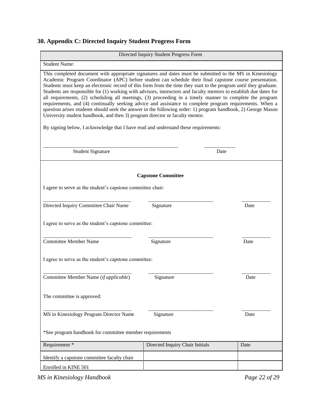# <span id="page-23-0"></span>**30. Appendix C: Directed Inquiry Student Progress Form**

| Directed Inquiry Student Progress Form                                                                                                                                                                                                                                                                                                                                                                                                                                                                                                                                                                                                                                                                                                                                                                                                                                                                                                                                         |                                                       |      |  |  |
|--------------------------------------------------------------------------------------------------------------------------------------------------------------------------------------------------------------------------------------------------------------------------------------------------------------------------------------------------------------------------------------------------------------------------------------------------------------------------------------------------------------------------------------------------------------------------------------------------------------------------------------------------------------------------------------------------------------------------------------------------------------------------------------------------------------------------------------------------------------------------------------------------------------------------------------------------------------------------------|-------------------------------------------------------|------|--|--|
| <b>Student Name:</b>                                                                                                                                                                                                                                                                                                                                                                                                                                                                                                                                                                                                                                                                                                                                                                                                                                                                                                                                                           |                                                       |      |  |  |
| This completed document with appropriate signatures and dates must be submitted to the MS in Kinesiology<br>Academic Program Coordinator (APC) before student can schedule their final capstone course presentation.<br>Students must keep an electronic record of this form from the time they start to the program until they graduate.<br>Students are responsible for (1) working with advisors, instructors and faculty mentors to establish due dates for<br>all requirements, (2) scheduling all meetings, (3) proceeding in a timely manner to complete the program<br>requirements, and (4) continually seeking advice and assistance to complete program requirements. When a<br>question arises students should seek the answer in the following order: 1) program handbook, 2) George Mason<br>University student handbook, and then 3) program director or faculty mentor.<br>By signing below, I acknowledge that I have read and understand these requirements: |                                                       |      |  |  |
| <b>Student Signature</b>                                                                                                                                                                                                                                                                                                                                                                                                                                                                                                                                                                                                                                                                                                                                                                                                                                                                                                                                                       |                                                       | Date |  |  |
|                                                                                                                                                                                                                                                                                                                                                                                                                                                                                                                                                                                                                                                                                                                                                                                                                                                                                                                                                                                | <b>Capstone Committee</b>                             |      |  |  |
| I agree to serve as the student's capstone committee chair:                                                                                                                                                                                                                                                                                                                                                                                                                                                                                                                                                                                                                                                                                                                                                                                                                                                                                                                    |                                                       |      |  |  |
| Directed Inquiry Committee Chair Name                                                                                                                                                                                                                                                                                                                                                                                                                                                                                                                                                                                                                                                                                                                                                                                                                                                                                                                                          | Signature                                             | Date |  |  |
|                                                                                                                                                                                                                                                                                                                                                                                                                                                                                                                                                                                                                                                                                                                                                                                                                                                                                                                                                                                | I agree to serve as the student's capstone committee: |      |  |  |
| <b>Committee Member Name</b>                                                                                                                                                                                                                                                                                                                                                                                                                                                                                                                                                                                                                                                                                                                                                                                                                                                                                                                                                   | Signature                                             | Date |  |  |
| I agree to serve as the student's capstone committee:                                                                                                                                                                                                                                                                                                                                                                                                                                                                                                                                                                                                                                                                                                                                                                                                                                                                                                                          |                                                       |      |  |  |
| Committee Member Name (if applicable)                                                                                                                                                                                                                                                                                                                                                                                                                                                                                                                                                                                                                                                                                                                                                                                                                                                                                                                                          | Signature                                             | Date |  |  |
| The committee is approved:                                                                                                                                                                                                                                                                                                                                                                                                                                                                                                                                                                                                                                                                                                                                                                                                                                                                                                                                                     |                                                       |      |  |  |
| MS in Kinesiology Program Director Name                                                                                                                                                                                                                                                                                                                                                                                                                                                                                                                                                                                                                                                                                                                                                                                                                                                                                                                                        | Signature                                             | Date |  |  |
| *See program handbook for committee member requirements                                                                                                                                                                                                                                                                                                                                                                                                                                                                                                                                                                                                                                                                                                                                                                                                                                                                                                                        |                                                       |      |  |  |
| Requirement*                                                                                                                                                                                                                                                                                                                                                                                                                                                                                                                                                                                                                                                                                                                                                                                                                                                                                                                                                                   | Directed Inquiry Chair Initials                       | Date |  |  |
| Identify a capstone committee faculty chair                                                                                                                                                                                                                                                                                                                                                                                                                                                                                                                                                                                                                                                                                                                                                                                                                                                                                                                                    |                                                       |      |  |  |
| Enrolled in KINE 501                                                                                                                                                                                                                                                                                                                                                                                                                                                                                                                                                                                                                                                                                                                                                                                                                                                                                                                                                           |                                                       |      |  |  |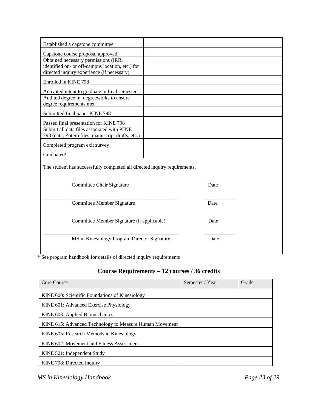| Established a capstone committee                                                                                                                                            |  |      |  |  |
|-----------------------------------------------------------------------------------------------------------------------------------------------------------------------------|--|------|--|--|
|                                                                                                                                                                             |  |      |  |  |
| Capstone course proposal approved<br>Obtained necessary permissions (IRB,<br>identified on- or off-campus location, etc.) for<br>directed inquiry experience (if necessary) |  |      |  |  |
| Enrolled in KINE 798                                                                                                                                                        |  |      |  |  |
| Activated intent to graduate in final semester<br>Audited degree in degreeworks to ensure<br>degree requirements met                                                        |  |      |  |  |
| Submitted final paper KINE 798                                                                                                                                              |  |      |  |  |
| Passed final presentation for KINE 798<br>Submit all data files associated with KINE                                                                                        |  |      |  |  |
| 798 (data, Zotero files, manuscript drafts, etc.)                                                                                                                           |  |      |  |  |
| Completed program exit survey                                                                                                                                               |  |      |  |  |
| Graduated!                                                                                                                                                                  |  |      |  |  |
| The student has successfully completed all directed inquiry requirements.                                                                                                   |  |      |  |  |
| Committee Chair Signature                                                                                                                                                   |  | Date |  |  |
| Committee Member Signature                                                                                                                                                  |  | Date |  |  |
| Committee Member Signature (if applicable)                                                                                                                                  |  | Date |  |  |
| MS in Kinesiology Program Director Signature                                                                                                                                |  | Date |  |  |

\* See program handbook for details of directed inquiry requirements

# **Course Requirements – 12 courses / 36 credits**

| Core Course                                             | Semester / Year | Grade |
|---------------------------------------------------------|-----------------|-------|
| KINE 600: Scientific Foundations of Kinesiology         |                 |       |
| KINE 601: Advanced Exercise Physiology                  |                 |       |
| KINE 603: Applied Biomechanics                          |                 |       |
| KINE 615: Advanced Technology to Measure Human Movement |                 |       |
| KINE 605: Research Methods in Kinesiology               |                 |       |
| KINE 602: Movement and Fitness Assessment               |                 |       |
| KINE 501: Independent Study                             |                 |       |
| KINE 798: Directed Inquiry                              |                 |       |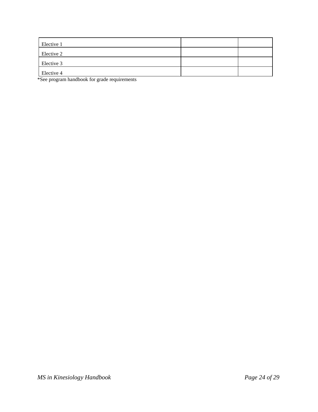| Elective 1 |  |
|------------|--|
| Elective 2 |  |
| Elective 3 |  |
| Elective 4 |  |

\*See program handbook for grade requirements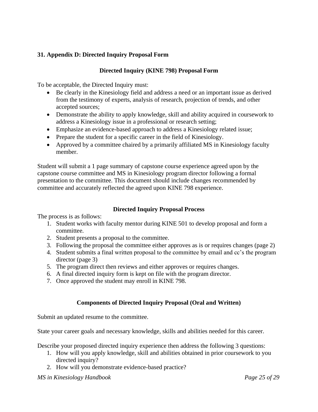# <span id="page-26-0"></span>**31. Appendix D: Directed Inquiry Proposal Form**

#### **Directed Inquiry (KINE 798) Proposal Form**

To be acceptable, the Directed Inquiry must:

- Be clearly in the Kinesiology field and address a need or an important issue as derived from the testimony of experts, analysis of research, projection of trends, and other accepted sources;
- Demonstrate the ability to apply knowledge, skill and ability acquired in coursework to address a Kinesiology issue in a professional or research setting;
- Emphasize an evidence-based approach to address a Kinesiology related issue;
- Prepare the student for a specific career in the field of Kinesiology.
- Approved by a committee chaired by a primarily affiliated MS in Kinesiology faculty member.

Student will submit a 1 page summary of capstone course experience agreed upon by the capstone course committee and MS in Kinesiology program director following a formal presentation to the committee. This document should include changes recommended by committee and accurately reflected the agreed upon KINE 798 experience.

#### **Directed Inquiry Proposal Process**

The process is as follows:

- 1. Student works with faculty mentor during KINE 501 to develop proposal and form a committee.
- 2. Student presents a proposal to the committee.
- 3. Following the proposal the committee either approves as is or requires changes (page 2)
- 4. Student submits a final written proposal to the committee by email and cc's the program director (page 3)
- 5. The program direct then reviews and either approves or requires changes.
- 6. A final directed inquiry form is kept on file with the program director.
- 7. Once approved the student may enroll in KINE 798.

#### **Components of Directed Inquiry Proposal (Oral and Written)**

Submit an updated resume to the committee.

State your career goals and necessary knowledge, skills and abilities needed for this career.

Describe your proposed directed inquiry experience then address the following 3 questions:

- 1. How will you apply knowledge, skill and abilities obtained in prior coursework to you directed inquiry?
- 2. How will you demonstrate evidence-based practice?

#### *MS in Kinesiology Handbook Page 25 of 29*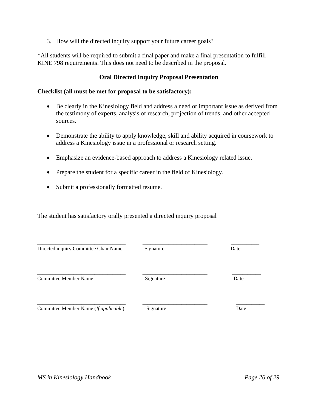3. How will the directed inquiry support your future career goals?

\*All students will be required to submit a final paper and make a final presentation to fulfill KINE 798 requirements. This does not need to be described in the proposal.

#### **Oral Directed Inquiry Proposal Presentation**

#### **Checklist (all must be met for proposal to be satisfactory):**

- Be clearly in the Kinesiology field and address a need or important issue as derived from the testimony of experts, analysis of research, projection of trends, and other accepted sources.
- Demonstrate the ability to apply knowledge, skill and ability acquired in coursework to address a Kinesiology issue in a professional or research setting.
- Emphasize an evidence-based approach to address a Kinesiology related issue.
- Prepare the student for a specific career in the field of Kinesiology.
- Submit a professionally formatted resume.

The student has satisfactory orally presented a directed inquiry proposal

| Directed inquiry Committee Chair Name | Signature | Date |
|---------------------------------------|-----------|------|
| Committee Member Name                 | Signature | Date |
| Committee Member Name (If applicable) | Signature | Date |